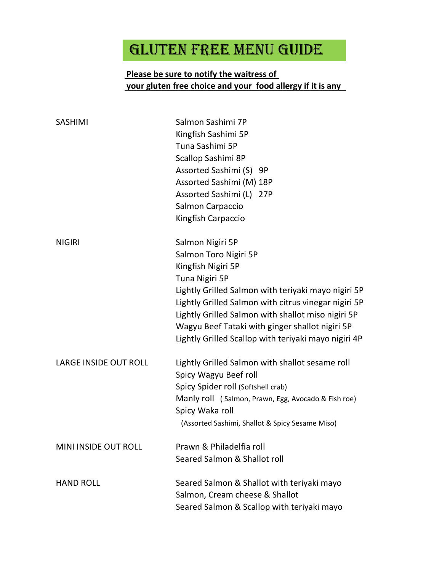## GLUTEN FREE MENU GUIDE

## Please be sure to notify the waitress of your gluten free choice and your food allergy if it is any

| <b>SASHIMI</b>               | Salmon Sashimi 7P<br>Kingfish Sashimi 5P<br>Tuna Sashimi 5P<br>Scallop Sashimi 8P<br>Assorted Sashimi (S) 9P<br>Assorted Sashimi (M) 18P<br>Assorted Sashimi (L) 27P<br>Salmon Carpaccio<br>Kingfish Carpaccio                                                                                                                                                    |
|------------------------------|-------------------------------------------------------------------------------------------------------------------------------------------------------------------------------------------------------------------------------------------------------------------------------------------------------------------------------------------------------------------|
| <b>NIGIRI</b>                | Salmon Nigiri 5P<br>Salmon Toro Nigiri 5P<br>Kingfish Nigiri 5P<br>Tuna Nigiri 5P<br>Lightly Grilled Salmon with teriyaki mayo nigiri 5P<br>Lightly Grilled Salmon with citrus vinegar nigiri 5P<br>Lightly Grilled Salmon with shallot miso nigiri 5P<br>Wagyu Beef Tataki with ginger shallot nigiri 5P<br>Lightly Grilled Scallop with teriyaki mayo nigiri 4P |
| <b>LARGE INSIDE OUT ROLL</b> | Lightly Grilled Salmon with shallot sesame roll<br>Spicy Wagyu Beef roll<br>Spicy Spider roll (Softshell crab)<br>Manly roll (Salmon, Prawn, Egg, Avocado & Fish roe)<br>Spicy Waka roll<br>(Assorted Sashimi, Shallot & Spicy Sesame Miso)                                                                                                                       |
| MINI INSIDE OUT ROLL         | Prawn & Philadelfia roll<br>Seared Salmon & Shallot roll                                                                                                                                                                                                                                                                                                          |
| <b>HAND ROLL</b>             | Seared Salmon & Shallot with teriyaki mayo<br>Salmon, Cream cheese & Shallot<br>Seared Salmon & Scallop with teriyaki mayo                                                                                                                                                                                                                                        |